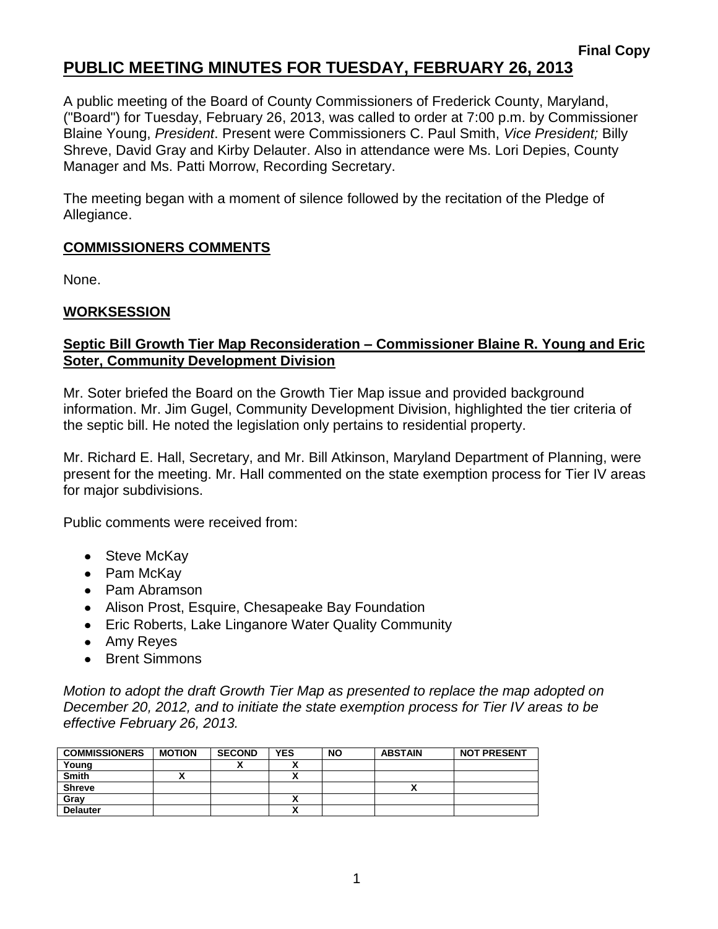## **PUBLIC MEETING MINUTES FOR TUESDAY, FEBRUARY 26, 2013**

A public meeting of the Board of County Commissioners of Frederick County, Maryland, ("Board") for Tuesday, February 26, 2013, was called to order at 7:00 p.m. by Commissioner Blaine Young, *President*. Present were Commissioners C. Paul Smith, *Vice President;* Billy Shreve, David Gray and Kirby Delauter. Also in attendance were Ms. Lori Depies, County Manager and Ms. Patti Morrow, Recording Secretary.

The meeting began with a moment of silence followed by the recitation of the Pledge of Allegiance.

#### **COMMISSIONERS COMMENTS**

None.

#### **WORKSESSION**

#### **Septic Bill Growth Tier Map Reconsideration – Commissioner Blaine R. Young and Eric Soter, Community Development Division**

Mr. Soter briefed the Board on the Growth Tier Map issue and provided background information. Mr. Jim Gugel, Community Development Division, highlighted the tier criteria of the septic bill. He noted the legislation only pertains to residential property.

Mr. Richard E. Hall, Secretary, and Mr. Bill Atkinson, Maryland Department of Planning, were present for the meeting. Mr. Hall commented on the state exemption process for Tier IV areas for major subdivisions.

Public comments were received from:

- Steve McKay
- Pam McKav
- Pam Abramson
- Alison Prost, Esquire, Chesapeake Bay Foundation
- Eric Roberts, Lake Linganore Water Quality Community
- Amy Reyes
- Brent Simmons

*Motion to adopt the draft Growth Tier Map as presented to replace the map adopted on December 20, 2012, and to initiate the state exemption process for Tier IV areas to be effective February 26, 2013.*

| <b>COMMISSIONERS</b> | <b>MOTION</b> | <b>SECOND</b> | <b>YES</b> | <b>NO</b> | <b>ABSTAIN</b> | <b>NOT PRESENT</b> |
|----------------------|---------------|---------------|------------|-----------|----------------|--------------------|
| Young                |               |               |            |           |                |                    |
| <b>Smith</b>         |               |               |            |           |                |                    |
| <b>Shreve</b>        |               |               |            |           |                |                    |
| Grav                 |               |               |            |           |                |                    |
| <b>Delauter</b>      |               |               |            |           |                |                    |